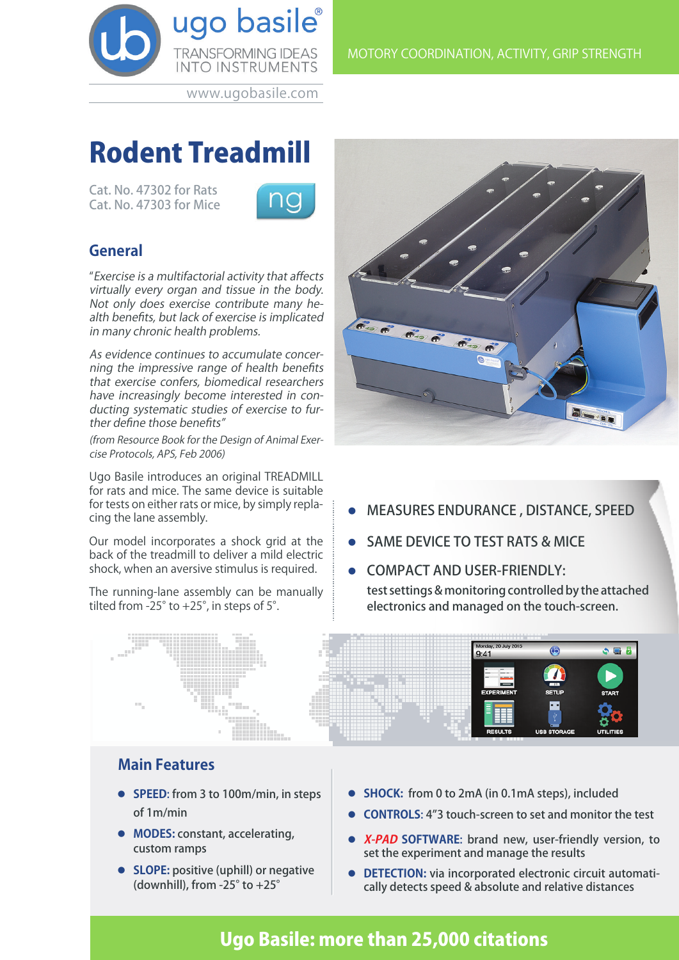

www.ugobasile.com

# Rodent Treadmill

Cat. No. 47302 for Rats Cat. No. 47303 for Mice



# **General**

"Exercise is a multifactorial activity that affects virtually every organ and tissue in the body. Not only does exercise contribute many health benefits, but lack of exercise is implicated in many chronic health problems.

As evidence continues to accumulate concerning the impressive range of health benefits that exercise confers, biomedical researchers have increasingly become interested in conducting systematic studies of exercise to further define those benefits"

(from Resource Book for the Design of Animal Exercise Protocols, APS, Feb 2006)

Ugo Basile introduces an original TREADMILL for rats and mice. The same device is suitable for tests on either rats or mice, by simply replacing the lane assembly.

Our model incorporates a shock grid at the back of the treadmill to deliver a mild electric shock, when an aversive stimulus is required.

The running-lane assembly can be manually tilted from -25 $^{\circ}$  to +25 $^{\circ}$ , in steps of 5 $^{\circ}$ .



- l MEASURES ENDURANCE , DISTANCE, SPEED
- **.** SAME DEVICE TO TEST RATS & MICE
- **.** COMPACT AND USER-FRIENDLY: test settings & monitoring controlled by the attached electronics and managed on the touch-screen.



## **Main Features**

- **SPEED:** from 3 to 100m/min, in steps of 1m/min
- **MODES: constant, accelerating,** custom ramps
- **SLOPE:** positive (uphill) or negative (downhill), from -25° to +25°
- **SHOCK:** from 0 to 2mA (in 0.1mA steps), included
- **CONTROLS:** 4"3 touch-screen to set and monitor the test
- **K-PAD SOFTWARE:** brand new, user-friendly version, to set the experiment and manage the results
- **DETECTION:** via incorporated electronic circuit automatically detects speed & absolute and relative distances

# Ugo Basile: more than 25,000 citations